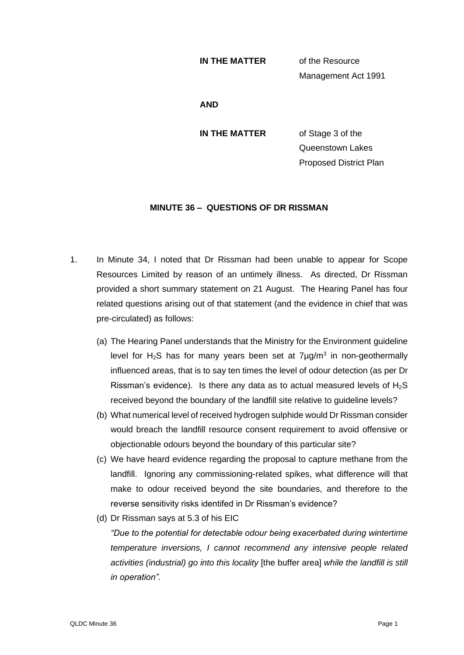## **IN THE MATTER** of the Resource

Management Act 1991

**AND**

**IN THE MATTER** of Stage 3 of the Queenstown Lakes Proposed District Plan

## **MINUTE 36 – QUESTIONS OF DR RISSMAN**

- 1. In Minute 34, I noted that Dr Rissman had been unable to appear for Scope Resources Limited by reason of an untimely illness. As directed, Dr Rissman provided a short summary statement on 21 August. The Hearing Panel has four related questions arising out of that statement (and the evidence in chief that was pre-circulated) as follows:
	- (a) The Hearing Panel understands that the Ministry for the Environment guideline level for H<sub>2</sub>S has for many years been set at  $7\mu$ g/m<sup>3</sup> in non-geothermally influenced areas, that is to say ten times the level of odour detection (as per Dr Rissman's evidence). Is there any data as to actual measured levels of  $H_2S$ received beyond the boundary of the landfill site relative to guideline levels?
	- (b) What numerical level of received hydrogen sulphide would Dr Rissman consider would breach the landfill resource consent requirement to avoid offensive or objectionable odours beyond the boundary of this particular site?
	- (c) We have heard evidence regarding the proposal to capture methane from the landfill. Ignoring any commissioning-related spikes, what difference will that make to odour received beyond the site boundaries, and therefore to the reverse sensitivity risks identifed in Dr Rissman's evidence?
	- (d) Dr Rissman says at 5.3 of his EIC

*"Due to the potential for detectable odour being exacerbated during wintertime temperature inversions, I cannot recommend any intensive people related activities (industrial) go into this locality* [the buffer area] *while the landfill is still in operation".*